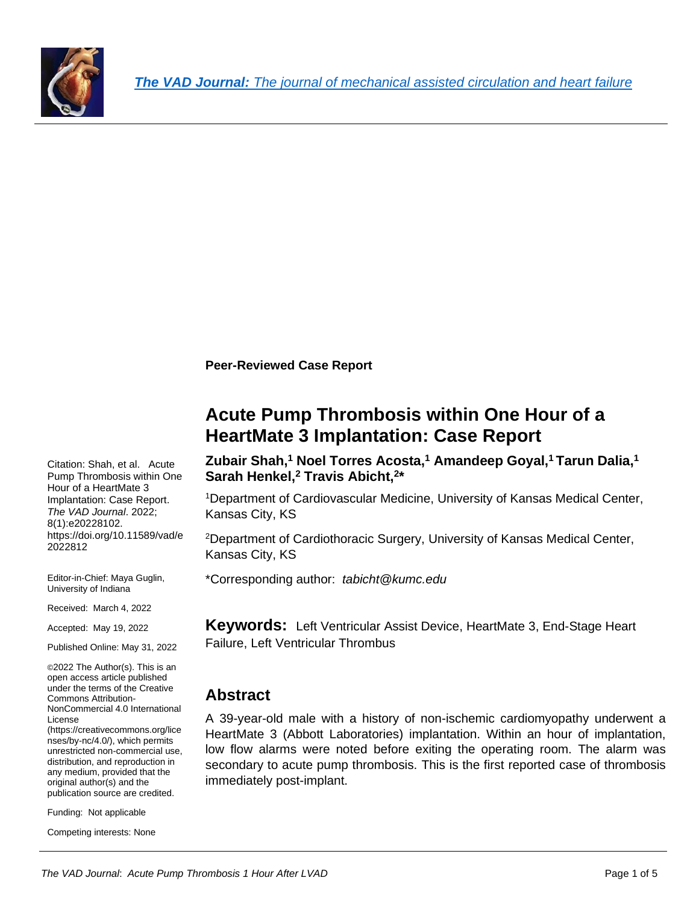

**Peer-Reviewed Case Report**

**Acute Pump Thrombosis within One Hour of a HeartMate 3 Implantation: Case Report**

**Zubair Shah, <sup>1</sup> Noel Torres Acosta, <sup>1</sup> Amandeep Goyal,<sup>1</sup>Tarun Dalia,<sup>1</sup> Sarah Henkel,<sup>2</sup> Travis Abicht,<sup>2</sup> \***

<sup>1</sup>Department of Cardiovascular Medicine, University of Kansas Medical Center, Kansas City, KS

<sup>2</sup>Department of Cardiothoracic Surgery, University of Kansas Medical Center, Kansas City, KS

\*Corresponding author: *[tabicht@kumc.edu](file:///C:/Users/docam/OneDrive/Desktop/KU%20Case%20Reports/LVAD%20Thrombus%20Case/tabicht@kumc.edu)*

**Keywords:** Left Ventricular Assist Device, HeartMate 3, End-Stage Heart Failure, Left Ventricular Thrombus

### **Abstract**

A 39-year-old male with a history of non-ischemic cardiomyopathy underwent a HeartMate 3 (Abbott Laboratories) implantation. Within an hour of implantation, low flow alarms were noted before exiting the operating room. The alarm was secondary to acute pump thrombosis. This is the first reported case of thrombosis immediately post-implant.

Citation: Shah, et al. Acute Pump Thrombosis within One Hour of a HeartMate 3 Implantation: Case Report. *The VAD Journal*. 2022; 8(1):e20228102. https://doi.org/10.11589/vad/e 2022812

Editor-in-Chief: Maya Guglin, University of Indiana

Received: March 4, 2022

Accepted: May 19, 2022

Published Online: May 31, 2022

©2022 The Author(s). This is an open access article published under the terms of the [Creative](http://creativecommons.org/licenses/by-nc/4.0/)  [Commons Attribution-](http://creativecommons.org/licenses/by-nc/4.0/)[NonCommercial 4.0](http://creativecommons.org/licenses/by-nc/4.0/) International [License](http://creativecommons.org/licenses/by-nc/4.0/) [\(https://creativecommons.org/lice](https://creativecommons.org/licenses/by-nc/4.0/) [nses/by-nc/4.0/\)](https://creativecommons.org/licenses/by-nc/4.0/), which permits unrestricted non-commercial use, distribution, and reproduction in any medium, provided that the original author(s) and the publication source are credited.

Funding: Not applicable

Competing interests: None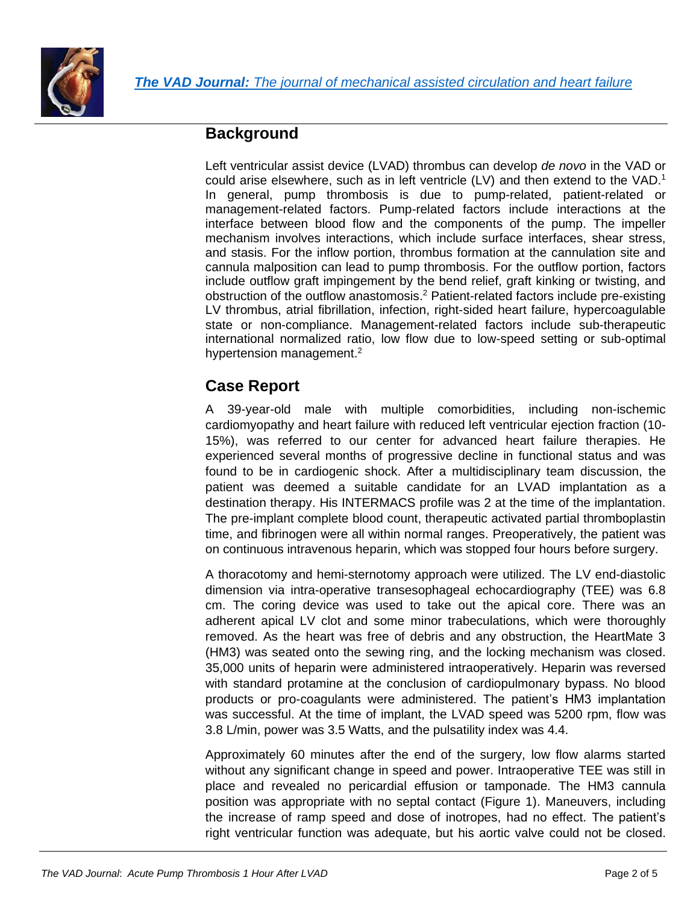

## **Background**

Left ventricular assist device (LVAD) thrombus can develop *de novo* in the VAD or could arise elsewhere, such as in left ventricle  $(LV)$  and then extend to the VAD.<sup>1</sup> In general, pump thrombosis is due to pump-related, patient-related or management-related factors. Pump-related factors include interactions at the interface between blood flow and the components of the pump. The impeller mechanism involves interactions, which include surface interfaces, shear stress, and stasis. For the inflow portion, thrombus formation at the cannulation site and cannula malposition can lead to pump thrombosis. For the outflow portion, factors include outflow graft impingement by the bend relief, graft kinking or twisting, and obstruction of the outflow anastomosis. <sup>2</sup> Patient-related factors include pre-existing LV thrombus, atrial fibrillation, infection, right-sided heart failure, hypercoagulable state or non-compliance. Management-related factors include sub-therapeutic international normalized ratio, low flow due to low-speed setting or sub-optimal hypertension management.<sup>2</sup>

# **Case Report**

A 39-year-old male with multiple comorbidities, including non-ischemic cardiomyopathy and heart failure with reduced left ventricular ejection fraction (10- 15%), was referred to our center for advanced heart failure therapies. He experienced several months of progressive decline in functional status and was found to be in cardiogenic shock. After a multidisciplinary team discussion, the patient was deemed a suitable candidate for an LVAD implantation as a destination therapy. His INTERMACS profile was 2 at the time of the implantation. The pre-implant complete blood count, therapeutic activated partial thromboplastin time, and fibrinogen were all within normal ranges. Preoperatively, the patient was on continuous intravenous heparin, which was stopped four hours before surgery.

A thoracotomy and hemi-sternotomy approach were utilized. The LV end-diastolic dimension via intra-operative transesophageal echocardiography (TEE) was 6.8 cm. The coring device was used to take out the apical core. There was an adherent apical LV clot and some minor trabeculations, which were thoroughly removed. As the heart was free of debris and any obstruction, the HeartMate 3 (HM3) was seated onto the sewing ring, and the locking mechanism was closed. 35,000 units of heparin were administered intraoperatively. Heparin was reversed with standard protamine at the conclusion of cardiopulmonary bypass. No blood products or pro-coagulants were administered. The patient's HM3 implantation was successful. At the time of implant, the LVAD speed was 5200 rpm, flow was 3.8 L/min, power was 3.5 Watts, and the pulsatility index was 4.4.

Approximately 60 minutes after the end of the surgery, low flow alarms started without any significant change in speed and power. Intraoperative TEE was still in place and revealed no pericardial effusion or tamponade. The HM3 cannula position was appropriate with no septal contact (Figure 1). Maneuvers, including the increase of ramp speed and dose of inotropes, had no effect. The patient's right ventricular function was adequate, but his aortic valve could not be closed.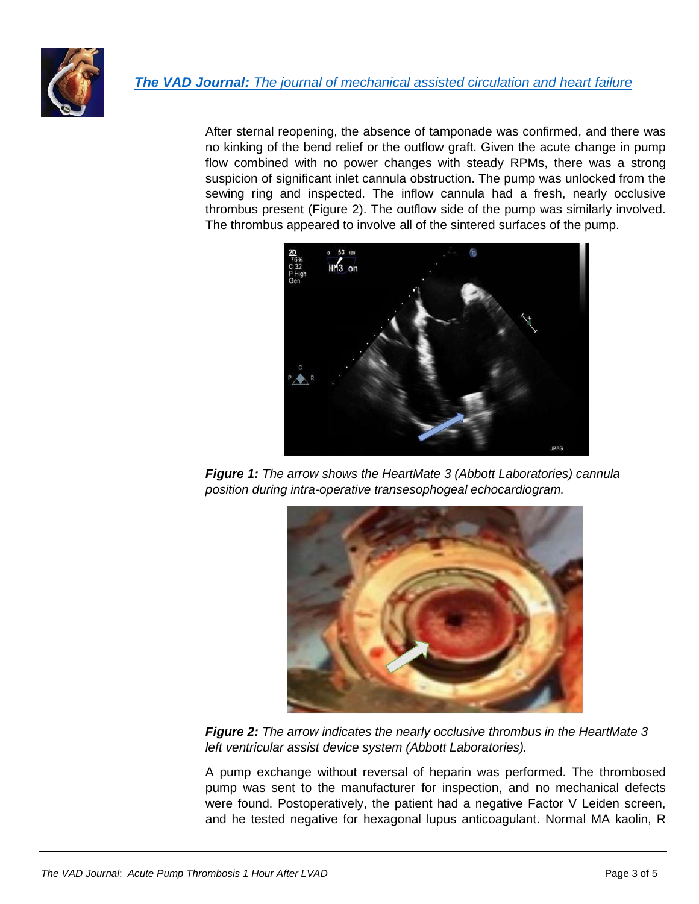

After sternal reopening, the absence of tamponade was confirmed, and there was no kinking of the bend relief or the outflow graft. Given the acute change in pump flow combined with no power changes with steady RPMs, there was a strong suspicion of significant inlet cannula obstruction. The pump was unlocked from the sewing ring and inspected. The inflow cannula had a fresh, nearly occlusive thrombus present (Figure 2). The outflow side of the pump was similarly involved. The thrombus appeared to involve all of the sintered surfaces of the pump.



*Figure 1: The arrow shows the HeartMate 3 (Abbott Laboratories) cannula position during intra-operative transesophogeal echocardiogram.*



*Figure 2: The arrow indicates the nearly occlusive thrombus in the HeartMate 3 left ventricular assist device system (Abbott Laboratories).* 

A pump exchange without reversal of heparin was performed. The thrombosed pump was sent to the manufacturer for inspection, and no mechanical defects were found. Postoperatively, the patient had a negative Factor V Leiden screen, and he tested negative for hexagonal lupus anticoagulant. Normal MA kaolin, R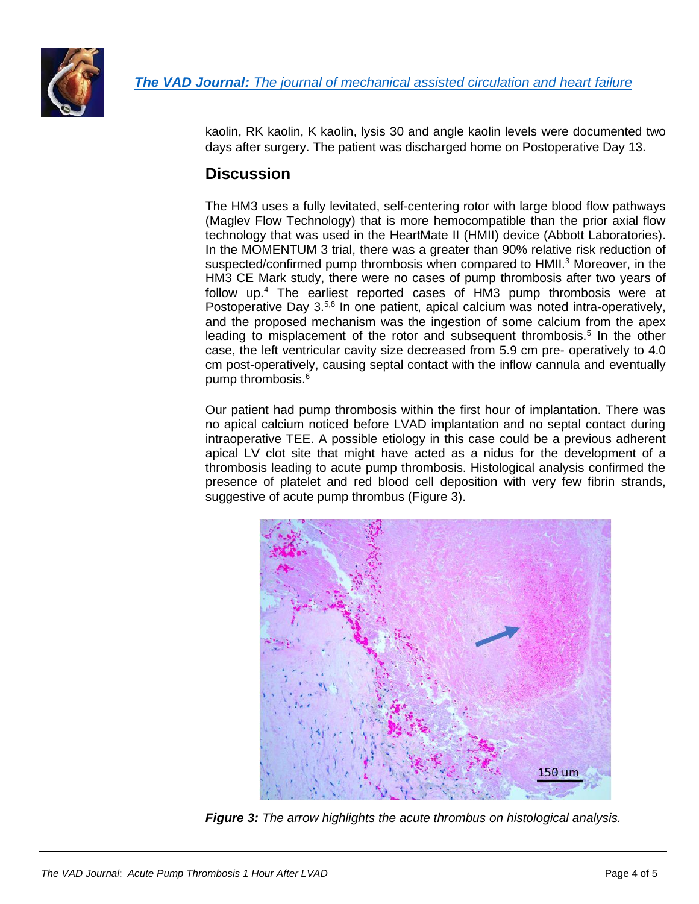

kaolin, RK kaolin, K kaolin, lysis 30 and angle kaolin levels were documented two days after surgery. The patient was discharged home on Postoperative Day 13.

### **Discussion**

The HM3 uses a fully levitated, self-centering rotor with large blood flow pathways (Maglev Flow Technology) that is more hemocompatible than the prior axial flow technology that was used in the HeartMate II (HMII) device (Abbott Laboratories). In the MOMENTUM 3 trial, there was a greater than 90% relative risk reduction of suspected/confirmed pump thrombosis when compared to HMII.<sup>3</sup> Moreover, in the HM3 CE Mark study, there were no cases of pump thrombosis after two years of follow up. <sup>4</sup> The earliest reported cases of HM3 pump thrombosis were at Postoperative Day 3.<sup>5,6</sup> In one patient, apical calcium was noted intra-operatively, and the proposed mechanism was the ingestion of some calcium from the apex leading to misplacement of the rotor and subsequent thrombosis.<sup>5</sup> In the other case, the left ventricular cavity size decreased from 5.9 cm pre- operatively to 4.0 cm post-operatively, causing septal contact with the inflow cannula and eventually pump thrombosis. 6

Our patient had pump thrombosis within the first hour of implantation. There was no apical calcium noticed before LVAD implantation and no septal contact during intraoperative TEE. A possible etiology in this case could be a previous adherent apical LV clot site that might have acted as a nidus for the development of a thrombosis leading to acute pump thrombosis. Histological analysis confirmed the presence of platelet and red blood cell deposition with very few fibrin strands, suggestive of acute pump thrombus (Figure 3).



*Figure 3: The arrow highlights the acute thrombus on histological analysis.*